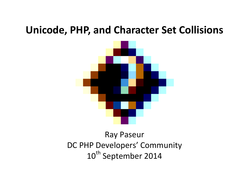## **Unicode, PHP, and Character Set Collisions**



#### Ray Paseur DC PHP Developers' Community 10<sup>th</sup> September 2014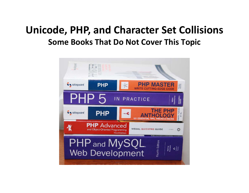# **Unicode, PHP, and Character Set Collisions Some Books That Do Not Cover This Topic**

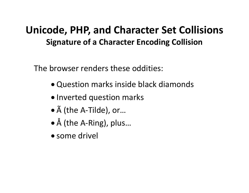## **Unicode, PHP, and Character Set Collisions Signature of a Character Encoding Collision**

The browser renders these oddities:

- Question marks inside black diamonds
- Inverted question marks
- à (the A-Tilde), or…
- Å (the A-Ring), plus…
- some drivel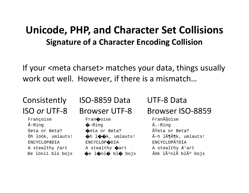#### **Unicode, PHP, and Character Set Collisions Signature of a Character Encoding Collision**

If your <meta charset> matches your data, things usually work out well. However, if there is a mismatch…

Françoise Fran�oise Françoise

#### Consistently ISO-8859 Data UTF-8 Data

 Å-Ring �-Ring Ã…-Ring  $\text{Beta}$  or Beta?  $\bigcirc$ eta or Beta?  $\tilde{\text{A}}$   $\tilde{\text{A}}$   $\tilde{\text{A}}$   $\tilde{\text{B}}$  are Beta? ENCYCLOPÆDIA ENCYCLOP�DIA ENCYCLOPÆDIA A stealthy fart  $A$  stealthy  $\bigcirc$  art  $A$  stealthy  $E'$  art

#### ISO *or* UTF-8 Browser UTF-8 Browser ISO-8859

Öh löök, umlauts!  $\oint h \, l \hat{\phi} \hat{\phi}$ k, umlauts!  $\tilde{A}$ -h l $\tilde{A} \P \tilde{A} \P k$ , umlauts! Đe lónlí blú bojs  $\bigcirc$ e l $\bigcirc$ nl $\bigcirc$  bl $\bigcirc$  bojs  $\tilde{A}^3$ nlà blÃ $\circ$  bojs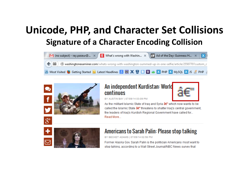# **Unicode, PHP, and Character Set Collisions Signature of a Character Encoding Collision**





#### An independent Kurdistan: World continues



Read More...

As the militant Islamic State of Iraq and Syria a€" which now wants to be called the Islamic State a€" threatens to shatter Iraq's central government. the leaders of Iraq's Kurdish Regional Government have called for...



#### Americans to Sarah Palin: Please stop talking

BY BECKET ADAMS | 07/09/14 02:58 PM

Former Alaska Gov. Sarah Palin is the politician Americans most want to stop talking, according to a Wall Street Journal/NBC News survey that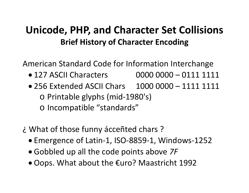# **Unicode, PHP, and Character Set Collisions Brief History of Character Encoding**

American Standard Code for Information Interchange

- 127 ASCII Characters 0000 0000 0111 1111
- 256 Extended ASCII Chars 1000 0000 1111 1111 o Printable glyphs (mid-1980's) o Incompatible "standards"
- ¿ What of those funny ácceñted chars ?
	- Emergence of Latin-1, ISO-8859-1, Windows-1252
	- Gobbled up all the code points above *7F*
	- Oops. What about the €uro? Maastricht 1992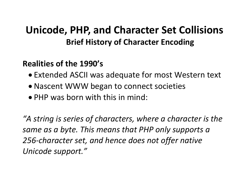# **Unicode, PHP, and Character Set Collisions Brief History of Character Encoding**

#### **Realities of the 1990's**

- Extended ASCII was adequate for most Western text
- Nascent WWW began to connect societies
- PHP was born with this in mind:

*"A string is series of characters, where a character is the same as a byte. This means that PHP only supports a 256-character set, and hence does not offer native Unicode support."*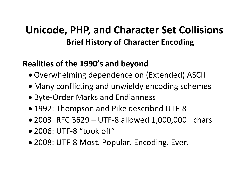# **Unicode, PHP, and Character Set Collisions Brief History of Character Encoding**

#### **Realities of the 1990's and beyond**

- Overwhelming dependence on (Extended) ASCII
- Many conflicting and unwieldy encoding schemes
- Byte-Order Marks and Endianness
- 1992: Thompson and Pike described UTF-8
- 2003: RFC 3629 UTF-8 allowed 1,000,000+ chars
- 2006: UTF-8 "took off"
- 2008: UTF-8 Most. Popular. Encoding. Ever.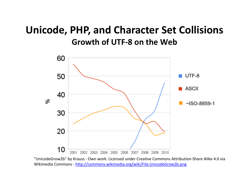### **Unicode, PHP, and Character Set Collisions Growth of UTF-8 on the Web**



"UnicodeGrow2b" by Krauss - Own work. Licensed under Creative Commons Attribution-Share Alike 4.0 via Wikimedia Commons - <http://commons.wikimedia.org/wiki/File:UnicodeGrow2b.png>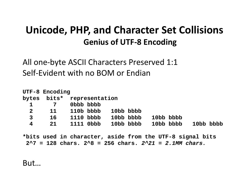## **Unicode, PHP, and Character Set Collisions Genius of UTF-8 Encoding**

All one-byte ASCII Characters Preserved 1:1 Self-Evident with no BOM or Endian

|                | UTF-8 Encoding |                            |           |  |           |           |  |           |  |  |
|----------------|----------------|----------------------------|-----------|--|-----------|-----------|--|-----------|--|--|
|                |                | bytes bits* representation |           |  |           |           |  |           |  |  |
| $\mathbf{1}$   | 7              | Obbb bbbb                  |           |  |           |           |  |           |  |  |
| $\mathbf{2}$   | 11             | 110b bbbb                  | 10bb bbbb |  |           |           |  |           |  |  |
| $\overline{3}$ | 16             | 1110 bbbb                  | 10bb bbbb |  | 10bb bbbb |           |  |           |  |  |
| 4              | 21             | 1111 0bbb                  | 10bb bbbb |  |           | 10bb bbbb |  | 10bb bbbb |  |  |

**\*bits used in character, aside from the UTF-8 signal bits 2^7 = 128 chars. 2^8 = 256 chars.** *2^21 = 2.1MM chars.*

But…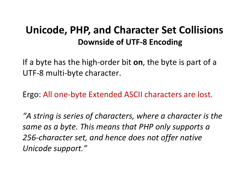## **Unicode, PHP, and Character Set Collisions Downside of UTF-8 Encoding**

If a byte has the high-order bit **on**, the byte is part of a UTF-8 multi-byte character.

Ergo: All one-byte Extended ASCII characters are lost.

*"A string is series of characters, where a character is the same as a byte. This means that PHP only supports a 256-character set, and hence does not offer native Unicode support."*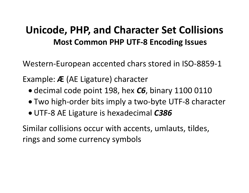## **Unicode, PHP, and Character Set Collisions Most Common PHP UTF-8 Encoding Issues**

Western-European accented chars stored in ISO-8859-1

Example: **Æ** (AE Ligature) character

- decimal code point 198, hex *C6*, binary 1100 0110
- Two high-order bits imply a two-byte UTF-8 character
- UTF-8 AE Ligature is hexadecimal *C386*

Similar collisions occur with accents, umlauts, tildes, rings and some currency symbols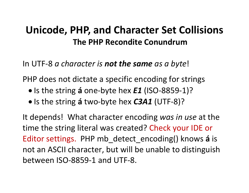#### **Unicode, PHP, and Character Set Collisions The PHP Recondite Conundrum**

In UTF-8 *a character is not the same as a byte*!

PHP does not dictate a specific encoding for strings

- Is the string **á** one-byte hex *E1* (ISO-8859-1)?
- Is the string **á** two-byte hex *C3A1* (UTF-8)?

It depends! What character encoding *was in use* at the time the string literal was created? Check your IDE or Editor settings. PHP mb\_detect\_encoding() knows **á** is not an ASCII character, but will be unable to distinguish between ISO-8859-1 and UTF-8.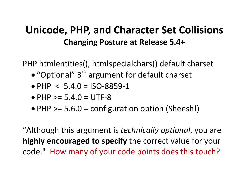## **Unicode, PHP, and Character Set Collisions Changing Posture at Release 5.4+**

PHP htmlentities(), htmlspecialchars() default charset

- "Optional" 3<sup>rd</sup> argument for default charset
- PHP  $< 5.4.0 =$  ISO-8859-1
- PHP  $> = 5.4.0 = UTF-8$
- PHP > = 5.6.0 = configuration option (Sheesh!)

"Although this argument is *technically optional*, you are **highly encouraged to specify** the correct value for your code." How many of your code points does this touch?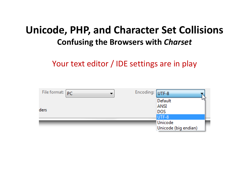## **Unicode, PHP, and Character Set Collisions Confusing the Browsers with** *Charset*

Your text editor / IDE settings are in play

| File format: $p_C$ | Encoding: UTF-8 |                      |  |
|--------------------|-----------------|----------------------|--|
|                    |                 | Default              |  |
|                    |                 | <b>ANSI</b>          |  |
| ders               |                 | <b>DOS</b>           |  |
|                    |                 | UTF-8                |  |
|                    |                 | Unicode              |  |
|                    |                 | Unicode (big endian) |  |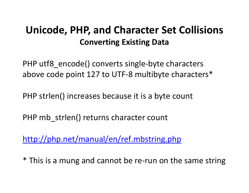# **Unicode, PHP, and Character Set Collisions Converting Existing Data**

PHP utf8 encode() converts single-byte characters above code point 127 to UTF-8 multibyte characters\*

PHP strlen() increases because it is a byte count

PHP mb strlen() returns character count

<http://php.net/manual/en/ref.mbstring.php>

\* This is a mung and cannot be re-run on the same string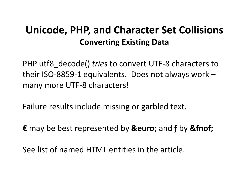# **Unicode, PHP, and Character Set Collisions Converting Existing Data**

PHP utf8\_decode() *tries* to convert UTF-8 characters to their ISO-8859-1 equivalents. Does not always work – many more UTF-8 characters!

Failure results include missing or garbled text.

€ may be best represented by **&euro**; and **f** by & finof;

See list of named HTML entities in the article.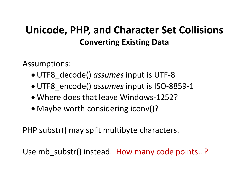# **Unicode, PHP, and Character Set Collisions Converting Existing Data**

Assumptions:

- UTF8\_decode() *assumes* input is UTF-8
- UTF8\_encode() *assumes* input is ISO-8859-1
- Where does that leave Windows-1252?
- Maybe worth considering iconv()?

PHP substr() may split multibyte characters.

Use mb substr() instead. How many code points...?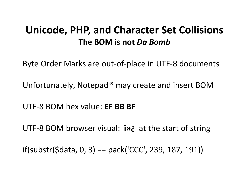#### **Unicode, PHP, and Character Set Collisions The BOM is not** *Da Bomb*

Byte Order Marks are out-of-place in UTF-8 documents

Unfortunately, Notepad® may create and insert BOM

UTF-8 BOM hex value: **EF BB BF**

UTF-8 BOM browser visual: **i**  $\dot{v}$  at the start of string

if(substr(\$data, 0, 3) == pack('CCC', 239, 187, 191))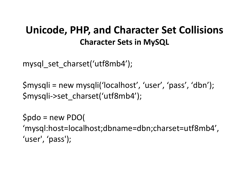## **Unicode, PHP, and Character Set Collisions Character Sets in MySQL**

mysql set charset('utf8mb4');

\$mysqli = new mysqli('localhost', 'user', 'pass', 'dbn'); \$mysqli->set\_charset('utf8mb4');

\$pdo = new PDO( 'mysql:host=localhost;dbname=dbn;charset=utf8mb4', 'user', 'pass');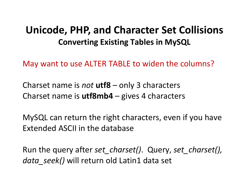#### **Unicode, PHP, and Character Set Collisions Converting Existing Tables in MySQL**

May want to use ALTER TABLE to widen the columns?

Charset name is *not* **utf8** – only 3 characters Charset name is **utf8mb4** – gives 4 characters

MySQL can return the right characters, even if you have Extended ASCII in the database

Run the query after *set\_charset()*. Query, *set\_charset(), data\_seek()* will return old Latin1 data set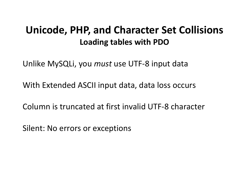#### **Unicode, PHP, and Character Set Collisions Loading tables with PDO**

Unlike MySQLi, you *must* use UTF-8 input data

With Extended ASCII input data, data loss occurs

Column is truncated at first invalid UTF-8 character

Silent: No errors or exceptions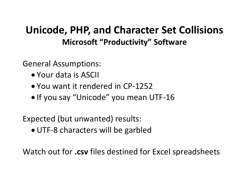General Assumptions:

- Your data is ASCII
- You want it rendered in CP-1252
- If you say "Unicode" you mean UTF-16

Expected (but unwanted) results:

• UTF-8 characters will be garbled

Watch out for **.csv** files destined for Excel spreadsheets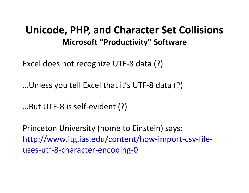Excel does not recognize UTF-8 data (?)

…Unless you tell Excel that it's UTF-8 data (?)

…But UTF-8 is self-evident (?)

Princeton University (home to Einstein) says: [http://www.itg.ias.edu/content/how-import-csv-file](http://www.itg.ias.edu/content/how-import-csv-file-uses-utf-8-character-encoding-0)[uses-utf-8-character-encoding-0](http://www.itg.ias.edu/content/how-import-csv-file-uses-utf-8-character-encoding-0)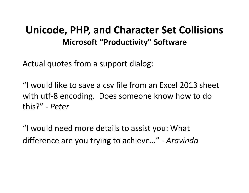Actual quotes from a support dialog:

"I would like to save a csv file from an Excel 2013 sheet with utf-8 encoding. Does someone know how to do this?" - *Peter*

"I would need more details to assist you: What difference are you trying to achieve…" - *Aravinda*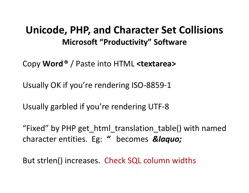Copy **Word®** / Paste into HTML **<textarea>**

Usually OK if you're rendering ISO-8859-1

Usually garbled if you're rendering UTF-8

"Fixed" by PHP get\_html\_translation\_table() with named character entities. Eg: " becomes *«* 

But strlen() increases. Check SQL column widths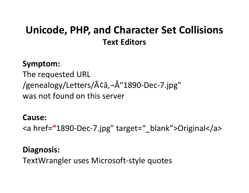## **Unicode, PHP, and Character Set Collisions Text Editors**

#### **Symptom:**

The requested URL /genealogy/Letters/ $\tilde{A}$ ¢â,- $\AA$ "1890-Dec-7.jpg" was not found on this server

#### **Cause:**

<a href=**"**1890-Dec-7.jpg" target="\_blank">Original</a>

#### **Diagnosis:**

TextWrangler uses Microsoft-style quotes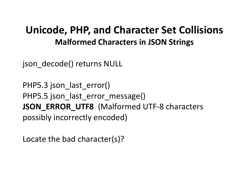#### **Unicode, PHP, and Character Set Collisions Malformed Characters in JSON Strings**

json\_decode() returns NULL

PHP5.3 json last error() PHP5.5 json\_last\_error\_message() **JSON\_ERROR\_UTF8** (Malformed UTF-8 characters possibly incorrectly encoded)

Locate the bad character(s)?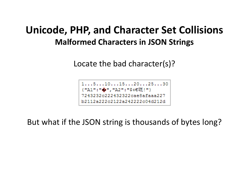## **Unicode, PHP, and Character Set Collisions Malformed Characters in JSON Strings**

Locate the bad character(s)?



But what if the JSON string is thousands of bytes long?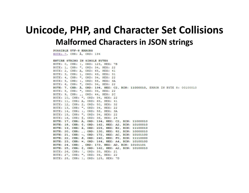#### **Unicode, PHP, and Character Set Collisions Malformed Characters in JSON strings**

**POSSIBLE UTF-8 ERRORS** BYTE: 7, CHR: Å, ORD: 194

ENTIRE STRING IN SINGLE BYTES BYTE: 0, CHR: {, ORD: 123, HEX: 7B BYTE: 1, CHR: ", ORD: 34, HEX: 22 BYTE: 2, CHR: A, ORD: 65, HEX: 41 BYTE: 3, CHR: 1, ORD: 49, HEX: 31 BYTE: 4, CHR: ", ORD: 34, HEX: 22 BYTE: 5, CHR: :, ORD: 58, HEX: 3A BYTE: 6, CHR: ", ORD: 34, HEX: 22 BYTE: 7, CHR: A, ORD: 194, HEX: C2, BIN: 11000010, ERROR IN BYTE 8: 00100010 BYTE: 8, CHR: ", ORD: 34, HEX: 22 BYTE: 9, CHR: ,, ORD: 44, HEX: 2C BYTE: 10, CHR: ", ORD: 34, HEX: 22 BYTE: 11, CHR: A, ORD: 65, HEX: 41 BYTE: 12, CHR: 2, ORD: 50, HEX: 32 BYTE: 13, CHR: ", ORD: 34, HEX: 22 BYTE: 14, CHR: :, ORD: 58, HEX: 3A BYTE: 15, CHR: ", ORD: 34, HEX: 22 BYTE: 16, CHR: \$, ORD: 36, HEX: 24 BYTE: 17, CHR:  $\hat{A}$ , ORD: 194, HEX: C2, BIN: 11000010 BYTE: 18, CHR: ¢, ORD: 162, HEX: A2, BIN: 10100010 BYTE: 19, CHR: â, ORD: 226, HEX: E2, BIN: 11100010 BYTE: 20, CHR: ,, ORD: 130, HEX: 82, BIN: 10000010 BYTE: 21, CHR: -, ORD: 172, HEX: AC, BIN: 10101100 BYTE: 22, CHR: 8, ORD: 240, HEX: FO, BIN: 11110000 BYTE: 23, CHR: ¤, ORD: 164, HEX: A4, BIN: 10100100 BYTE: 24, CHR: , ORD: 173, HEX: AD, BIN: 10101101 BYTE: 25, CHR: ¢, ORD: 162, HEX: A2, BIN: 10100010 BYTE: 26, CHR: !, ORD: 33, HEX: 21 BYTE: 27, CHR: ", ORD: 34, HEX: 22 BYTE: 28, CHR: }, ORD: 125, HEX: 7D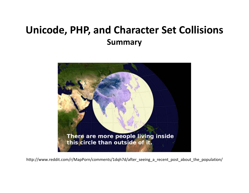## **Unicode, PHP, and Character Set Collisions Summary**



http://www.reddit.com/r/MapPorn/comments/1dqh7d/after\_seeing\_a\_recent\_post\_about\_the\_population/